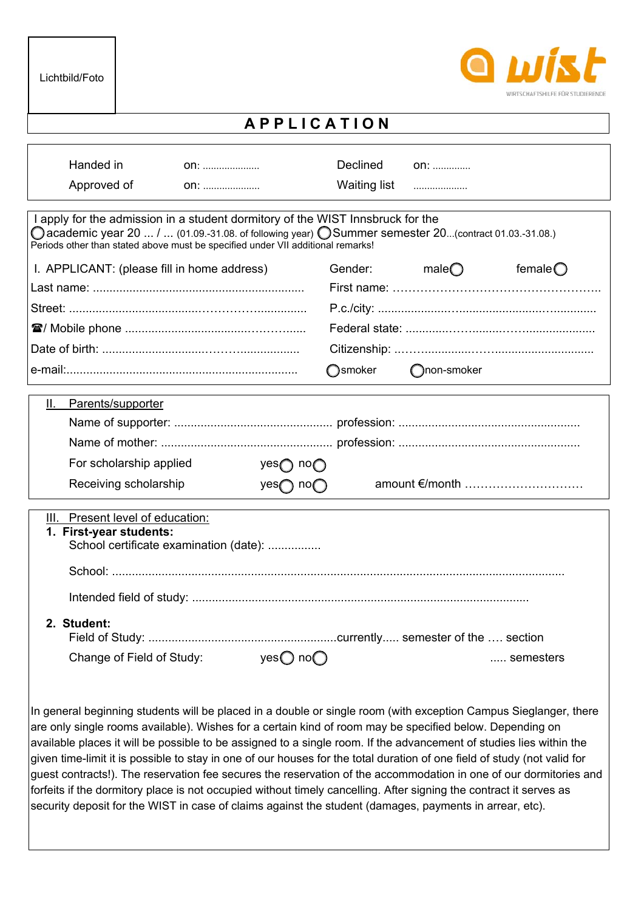

## **A P P L I C A T I O N**

| <b>Declined</b>                                                                 | on:                                                      |                                                                                                                                                                                                                                      |
|---------------------------------------------------------------------------------|----------------------------------------------------------|--------------------------------------------------------------------------------------------------------------------------------------------------------------------------------------------------------------------------------------|
|                                                                                 |                                                          |                                                                                                                                                                                                                                      |
| Periods other than stated above must be specified under VII additional remarks! |                                                          |                                                                                                                                                                                                                                      |
| I. APPLICANT: (please fill in home address)<br>Gender:                          | male $\bigcirc$                                          | female $\bigcirc$                                                                                                                                                                                                                    |
|                                                                                 |                                                          |                                                                                                                                                                                                                                      |
|                                                                                 |                                                          |                                                                                                                                                                                                                                      |
|                                                                                 |                                                          |                                                                                                                                                                                                                                      |
|                                                                                 |                                                          |                                                                                                                                                                                                                                      |
| <b>O</b> smoker                                                                 | non-smoker                                               |                                                                                                                                                                                                                                      |
|                                                                                 |                                                          |                                                                                                                                                                                                                                      |
|                                                                                 |                                                          |                                                                                                                                                                                                                                      |
|                                                                                 |                                                          |                                                                                                                                                                                                                                      |
|                                                                                 |                                                          |                                                                                                                                                                                                                                      |
|                                                                                 |                                                          |                                                                                                                                                                                                                                      |
|                                                                                 |                                                          |                                                                                                                                                                                                                                      |
| School certificate examination (date):<br>yes $\bigcirc$ no $\bigcirc$          |                                                          | semesters                                                                                                                                                                                                                            |
|                                                                                 | yes $\bigcap$ no $\bigcap$<br>yes $\bigcap$ no $\bigcap$ | <b>Waiting list</b><br><br>I apply for the admission in a student dormitory of the WIST Innsbruck for the<br>○ academic year 20  /  (01.09.-31.08. of following year) ○ Summer semester 20(contract 01.03.-31.08.)<br>amount €/month |

In general beginning students will be placed in a double or single room (with exception Campus Sieglanger, there are only single rooms available). Wishes for a certain kind of room may be specified below. Depending on available places it will be possible to be assigned to a single room. If the advancement of studies lies within the given time-limit it is possible to stay in one of our houses for the total duration of one field of study (not valid for guest contracts!). The reservation fee secures the reservation of the accommodation in one of our dormitories and forfeits if the dormitory place is not occupied without timely cancelling. After signing the contract it serves as security deposit for the WIST in case of claims against the student (damages, payments in arrear, etc).